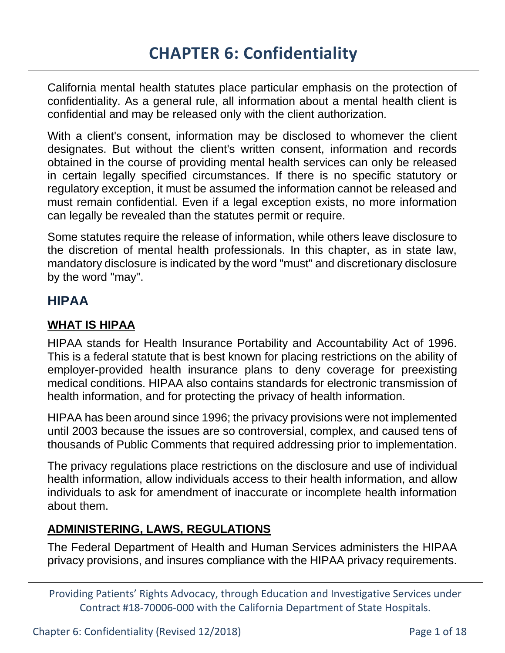California mental health statutes place particular emphasis on the protection of confidentiality. As a general rule, all information about a mental health client is confidential and may be released only with the client authorization.

With a client's consent, information may be disclosed to whomever the client designates. But without the client's written consent, information and records obtained in the course of providing mental health services can only be released in certain legally specified circumstances. If there is no specific statutory or regulatory exception, it must be assumed the information cannot be released and must remain confidential. Even if a legal exception exists, no more information can legally be revealed than the statutes permit or require.

Some statutes require the release of information, while others leave disclosure to the discretion of mental health professionals. In this chapter, as in state law, mandatory disclosure is indicated by the word "must" and discretionary disclosure by the word "may".

# **HIPAA**

### **WHAT IS HIPAA**

HIPAA stands for Health Insurance Portability and Accountability Act of 1996. This is a federal statute that is best known for placing restrictions on the ability of employer-provided health insurance plans to deny coverage for preexisting medical conditions. HIPAA also contains standards for electronic transmission of health information, and for protecting the privacy of health information.

HIPAA has been around since 1996; the privacy provisions were not implemented until 2003 because the issues are so controversial, complex, and caused tens of thousands of Public Comments that required addressing prior to implementation.

The privacy regulations place restrictions on the disclosure and use of individual health information, allow individuals access to their health information, and allow individuals to ask for amendment of inaccurate or incomplete health information about them.

### **ADMINISTERING, LAWS, REGULATIONS**

The Federal Department of Health and Human Services administers the HIPAA privacy provisions, and insures compliance with the HIPAA privacy requirements.

Chapter 6: Confidentiality (Revised 12/2018) Page 1 of 18

Providing Patients' Rights Advocacy, through Education and Investigative Services under Contract #18-70006-000 with the California Department of State Hospitals.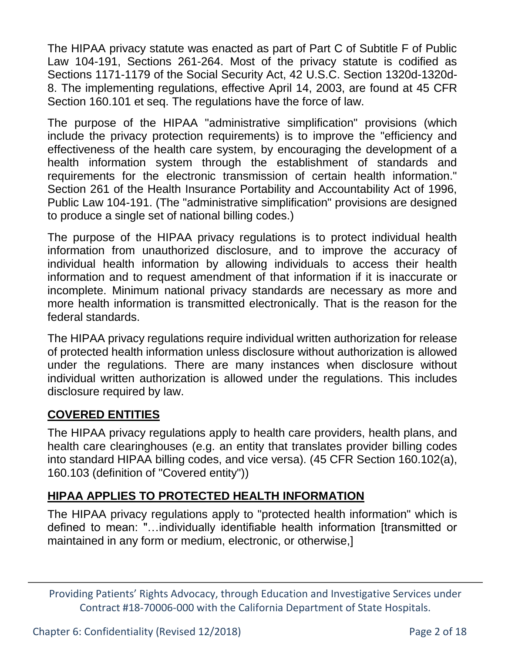The HIPAA privacy statute was enacted as part of Part C of Subtitle F of Public Law 104-191, Sections 261-264. Most of the privacy statute is codified as Sections 1171-1179 of the Social Security Act, 42 U.S.C. Section 1320d-1320d-8. The implementing regulations, effective April 14, 2003, are found at 45 CFR Section 160.101 et seq. The regulations have the force of law.

The purpose of the HIPAA "administrative simplification" provisions (which include the privacy protection requirements) is to improve the "efficiency and effectiveness of the health care system, by encouraging the development of a health information system through the establishment of standards and requirements for the electronic transmission of certain health information." Section 261 of the Health Insurance Portability and Accountability Act of 1996, Public Law 104-191. (The "administrative simplification" provisions are designed to produce a single set of national billing codes.)

The purpose of the HIPAA privacy regulations is to protect individual health information from unauthorized disclosure, and to improve the accuracy of individual health information by allowing individuals to access their health information and to request amendment of that information if it is inaccurate or incomplete. Minimum national privacy standards are necessary as more and more health information is transmitted electronically. That is the reason for the federal standards.

The HIPAA privacy regulations require individual written authorization for release of protected health information unless disclosure without authorization is allowed under the regulations. There are many instances when disclosure without individual written authorization is allowed under the regulations. This includes disclosure required by law.

### **COVERED ENTITIES**

The HIPAA privacy regulations apply to health care providers, health plans, and health care clearinghouses (e.g. an entity that translates provider billing codes into standard HIPAA billing codes, and vice versa). (45 CFR Section 160.102(a), 160.103 (definition of "Covered entity"))

## **HIPAA APPLIES TO PROTECTED HEALTH INFORMATION**

The HIPAA privacy regulations apply to "protected health information" which is defined to mean: "…individually identifiable health information [transmitted or maintained in any form or medium, electronic, or otherwise,]

Providing Patients' Rights Advocacy, through Education and Investigative Services under Contract #18-70006-000 with the California Department of State Hospitals.

Chapter 6: Confidentiality (Revised 12/2018) Page 2 of 18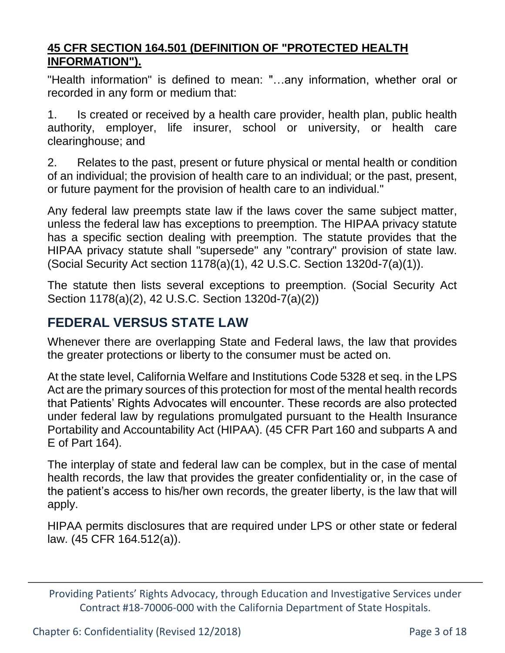### **45 CFR SECTION 164.501 (DEFINITION OF "PROTECTED HEALTH INFORMATION").**

"Health information" is defined to mean: "…any information, whether oral or recorded in any form or medium that:

1. Is created or received by a health care provider, health plan, public health authority, employer, life insurer, school or university, or health care clearinghouse; and

2. Relates to the past, present or future physical or mental health or condition of an individual; the provision of health care to an individual; or the past, present, or future payment for the provision of health care to an individual."

Any federal law preempts state law if the laws cover the same subject matter, unless the federal law has exceptions to preemption. The HIPAA privacy statute has a specific section dealing with preemption. The statute provides that the HIPAA privacy statute shall "supersede" any "contrary" provision of state law. (Social Security Act section 1178(a)(1), 42 U.S.C. Section 1320d-7(a)(1)).

The statute then lists several exceptions to preemption. (Social Security Act Section 1178(a)(2), 42 U.S.C. Section 1320d-7(a)(2))

# **FEDERAL VERSUS STATE LAW**

Whenever there are overlapping State and Federal laws, the law that provides the greater protections or liberty to the consumer must be acted on.

At the state level, California Welfare and Institutions Code 5328 et seq. in the LPS Act are the primary sources of this protection for most of the mental health records that Patients' Rights Advocates will encounter. These records are also protected under federal law by regulations promulgated pursuant to the Health Insurance Portability and Accountability Act (HIPAA). (45 CFR Part 160 and subparts A and E of Part 164).

The interplay of state and federal law can be complex, but in the case of mental health records, the law that provides the greater confidentiality or, in the case of the patient's access to his/her own records, the greater liberty, is the law that will apply.

HIPAA permits disclosures that are required under LPS or other state or federal law. (45 CFR 164.512(a)).

Chapter 6: Confidentiality (Revised 12/2018) Page 3 of 18

Providing Patients' Rights Advocacy, through Education and Investigative Services under Contract #18-70006-000 with the California Department of State Hospitals.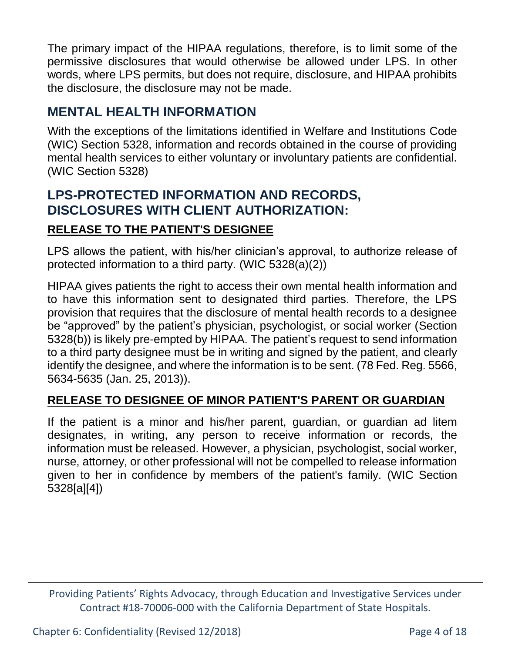The primary impact of the HIPAA regulations, therefore, is to limit some of the permissive disclosures that would otherwise be allowed under LPS. In other words, where LPS permits, but does not require, disclosure, and HIPAA prohibits the disclosure, the disclosure may not be made.

## **MENTAL HEALTH INFORMATION**

With the exceptions of the limitations identified in Welfare and Institutions Code (WIC) Section 5328, information and records obtained in the course of providing mental health services to either voluntary or involuntary patients are confidential. (WIC Section 5328)

# **LPS-PROTECTED INFORMATION AND RECORDS, DISCLOSURES WITH CLIENT AUTHORIZATION: RELEASE TO THE PATIENT'S DESIGNEE**

LPS allows the patient, with his/her clinician's approval, to authorize release of protected information to a third party. (WIC 5328(a)(2))

HIPAA gives patients the right to access their own mental health information and to have this information sent to designated third parties. Therefore, the LPS provision that requires that the disclosure of mental health records to a designee be "approved" by the patient's physician, psychologist, or social worker (Section 5328(b)) is likely pre-empted by HIPAA. The patient's request to send information to a third party designee must be in writing and signed by the patient, and clearly identify the designee, and where the information is to be sent. (78 Fed. Reg. 5566, 5634-5635 (Jan. 25, 2013)).

### **RELEASE TO DESIGNEE OF MINOR PATIENT'S PARENT OR GUARDIAN**

If the patient is a minor and his/her parent, guardian, or guardian ad litem designates, in writing, any person to receive information or records, the information must be released. However, a physician, psychologist, social worker, nurse, attorney, or other professional will not be compelled to release information given to her in confidence by members of the patient's family. (WIC Section 5328[a][4])

Providing Patients' Rights Advocacy, through Education and Investigative Services under Contract #18-70006-000 with the California Department of State Hospitals.

Chapter 6: Confidentiality (Revised 12/2018) Page 4 of 18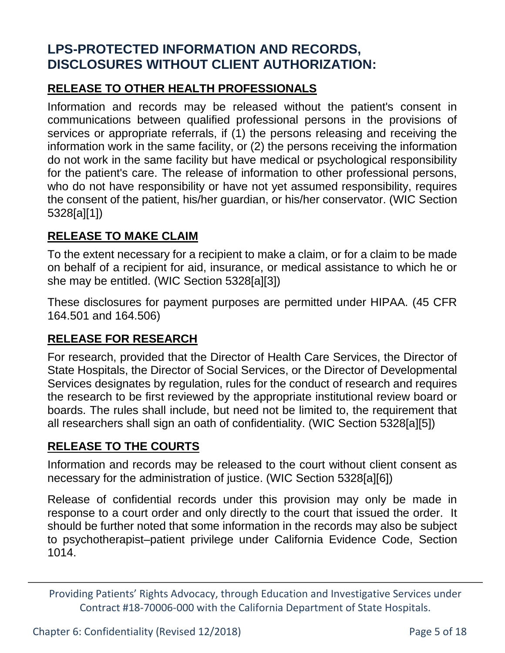# **LPS-PROTECTED INFORMATION AND RECORDS, DISCLOSURES WITHOUT CLIENT AUTHORIZATION:**

### **RELEASE TO OTHER HEALTH PROFESSIONALS**

Information and records may be released without the patient's consent in communications between qualified professional persons in the provisions of services or appropriate referrals, if (1) the persons releasing and receiving the information work in the same facility, or (2) the persons receiving the information do not work in the same facility but have medical or psychological responsibility for the patient's care. The release of information to other professional persons, who do not have responsibility or have not yet assumed responsibility, requires the consent of the patient, his/her guardian, or his/her conservator. (WIC Section 5328[a][1])

### **RELEASE TO MAKE CLAIM**

To the extent necessary for a recipient to make a claim, or for a claim to be made on behalf of a recipient for aid, insurance, or medical assistance to which he or she may be entitled. (WIC Section 5328[a][3])

These disclosures for payment purposes are permitted under HIPAA. (45 CFR 164.501 and 164.506)

### **RELEASE FOR RESEARCH**

For research, provided that the Director of Health Care Services, the Director of State Hospitals, the Director of Social Services, or the Director of Developmental Services designates by regulation, rules for the conduct of research and requires the research to be first reviewed by the appropriate institutional review board or boards. The rules shall include, but need not be limited to, the requirement that all researchers shall sign an oath of confidentiality. (WIC Section 5328[a][5])

### **RELEASE TO THE COURTS**

Information and records may be released to the court without client consent as necessary for the administration of justice. (WIC Section 5328[a][6])

Release of confidential records under this provision may only be made in response to a court order and only directly to the court that issued the order. It should be further noted that some information in the records may also be subject to psychotherapist–patient privilege under California Evidence Code, Section 1014.

Chapter 6: Confidentiality (Revised 12/2018) Page 5 of 18

Providing Patients' Rights Advocacy, through Education and Investigative Services under Contract #18-70006-000 with the California Department of State Hospitals.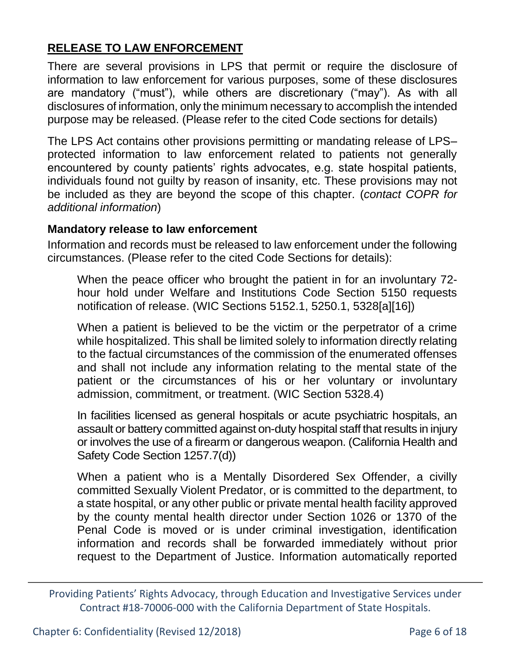### **RELEASE TO LAW ENFORCEMENT**

There are several provisions in LPS that permit or require the disclosure of information to law enforcement for various purposes, some of these disclosures are mandatory ("must"), while others are discretionary ("may"). As with all disclosures of information, only the minimum necessary to accomplish the intended purpose may be released. (Please refer to the cited Code sections for details)

The LPS Act contains other provisions permitting or mandating release of LPS– protected information to law enforcement related to patients not generally encountered by county patients' rights advocates, e.g. state hospital patients, individuals found not guilty by reason of insanity, etc. These provisions may not be included as they are beyond the scope of this chapter. (*contact COPR for additional information*)

#### **Mandatory release to law enforcement**

Information and records must be released to law enforcement under the following circumstances. (Please refer to the cited Code Sections for details):

When the peace officer who brought the patient in for an involuntary 72 hour hold under Welfare and Institutions Code Section 5150 requests notification of release. (WIC Sections 5152.1, 5250.1, 5328[a][16])

When a patient is believed to be the victim or the perpetrator of a crime while hospitalized. This shall be limited solely to information directly relating to the factual circumstances of the commission of the enumerated offenses and shall not include any information relating to the mental state of the patient or the circumstances of his or her voluntary or involuntary admission, commitment, or treatment. (WIC Section 5328.4)

In facilities licensed as general hospitals or acute psychiatric hospitals, an assault or battery committed against on-duty hospital staff that results in injury or involves the use of a firearm or dangerous weapon. (California Health and Safety Code Section 1257.7(d))

When a patient who is a Mentally Disordered Sex Offender, a civilly committed Sexually Violent Predator, or is committed to the department, to a state hospital, or any other public or private mental health facility approved by the county mental health director under Section 1026 or 1370 of the Penal Code is moved or is under criminal investigation, identification information and records shall be forwarded immediately without prior request to the Department of Justice. Information automatically reported

Providing Patients' Rights Advocacy, through Education and Investigative Services under Contract #18-70006-000 with the California Department of State Hospitals.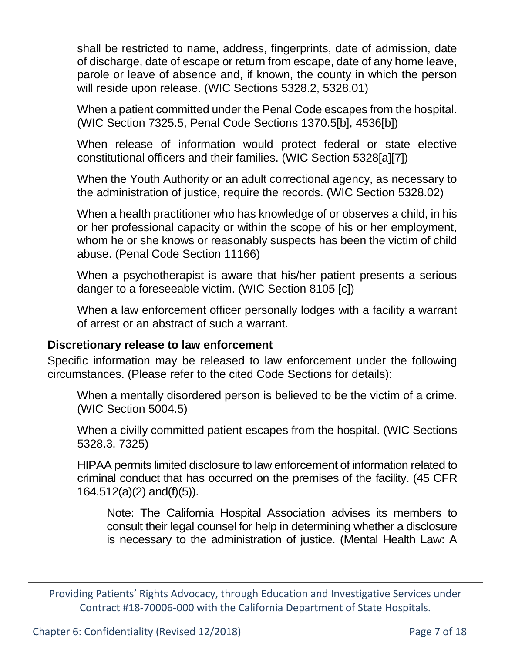shall be restricted to name, address, fingerprints, date of admission, date of discharge, date of escape or return from escape, date of any home leave, parole or leave of absence and, if known, the county in which the person will reside upon release. (WIC Sections 5328.2, 5328.01)

When a patient committed under the Penal Code escapes from the hospital. (WIC Section 7325.5, Penal Code Sections 1370.5[b], 4536[b])

When release of information would protect federal or state elective constitutional officers and their families. (WIC Section 5328[a][7])

When the Youth Authority or an adult correctional agency, as necessary to the administration of justice, require the records. (WIC Section 5328.02)

When a health practitioner who has knowledge of or observes a child, in his or her professional capacity or within the scope of his or her employment, whom he or she knows or reasonably suspects has been the victim of child abuse. (Penal Code Section 11166)

When a psychotherapist is aware that his/her patient presents a serious danger to a foreseeable victim. (WIC Section 8105 [c])

When a law enforcement officer personally lodges with a facility a warrant of arrest or an abstract of such a warrant.

#### **Discretionary release to law enforcement**

Specific information may be released to law enforcement under the following circumstances. (Please refer to the cited Code Sections for details):

When a mentally disordered person is believed to be the victim of a crime. (WIC Section 5004.5)

When a civilly committed patient escapes from the hospital. (WIC Sections 5328.3, 7325)

HIPAA permits limited disclosure to law enforcement of information related to criminal conduct that has occurred on the premises of the facility. (45 CFR 164.512(a)(2) and(f)(5)).

Note: The California Hospital Association advises its members to consult their legal counsel for help in determining whether a disclosure is necessary to the administration of justice. (Mental Health Law: A

Providing Patients' Rights Advocacy, through Education and Investigative Services under Contract #18-70006-000 with the California Department of State Hospitals.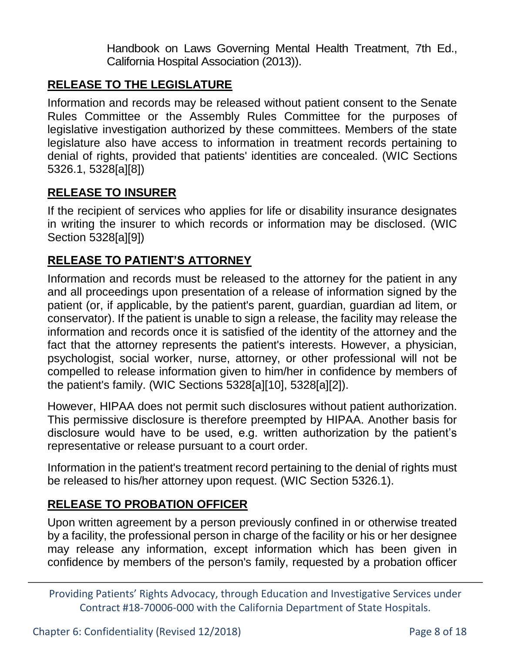Handbook on Laws Governing Mental Health Treatment, 7th Ed., California Hospital Association (2013)).

### **RELEASE TO THE LEGISLATURE**

Information and records may be released without patient consent to the Senate Rules Committee or the Assembly Rules Committee for the purposes of legislative investigation authorized by these committees. Members of the state legislature also have access to information in treatment records pertaining to denial of rights, provided that patients' identities are concealed. (WIC Sections 5326.1, 5328[a][8])

#### **RELEASE TO INSURER**

If the recipient of services who applies for life or disability insurance designates in writing the insurer to which records or information may be disclosed. (WIC Section 5328[a][9])

### **RELEASE TO PATIENT'S ATTORNEY**

Information and records must be released to the attorney for the patient in any and all proceedings upon presentation of a release of information signed by the patient (or, if applicable, by the patient's parent, guardian, guardian ad litem, or conservator). If the patient is unable to sign a release, the facility may release the information and records once it is satisfied of the identity of the attorney and the fact that the attorney represents the patient's interests. However, a physician, psychologist, social worker, nurse, attorney, or other professional will not be compelled to release information given to him/her in confidence by members of the patient's family. (WIC Sections 5328[a][10], 5328[a][2]).

However, HIPAA does not permit such disclosures without patient authorization. This permissive disclosure is therefore preempted by HIPAA. Another basis for disclosure would have to be used, e.g. written authorization by the patient's representative or release pursuant to a court order.

Information in the patient's treatment record pertaining to the denial of rights must be released to his/her attorney upon request. (WIC Section 5326.1).

### **RELEASE TO PROBATION OFFICER**

Upon written agreement by a person previously confined in or otherwise treated by a facility, the professional person in charge of the facility or his or her designee may release any information, except information which has been given in confidence by members of the person's family, requested by a probation officer

Providing Patients' Rights Advocacy, through Education and Investigative Services under Contract #18-70006-000 with the California Department of State Hospitals.

Chapter 6: Confidentiality (Revised 12/2018) Page 8 of 18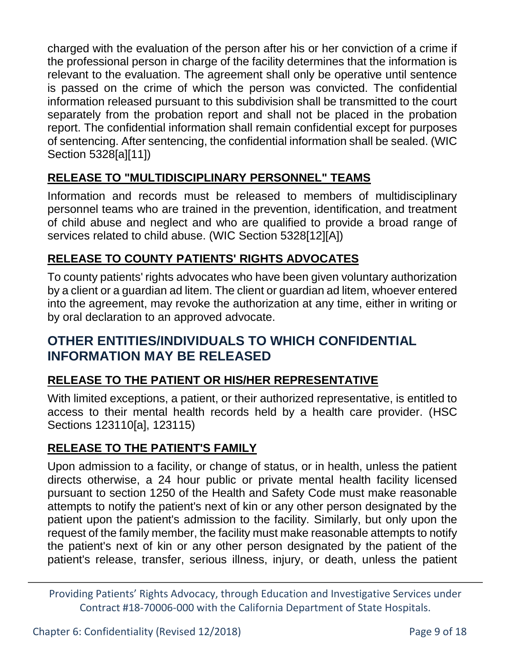charged with the evaluation of the person after his or her conviction of a crime if the professional person in charge of the facility determines that the information is relevant to the evaluation. The agreement shall only be operative until sentence is passed on the crime of which the person was convicted. The confidential information released pursuant to this subdivision shall be transmitted to the court separately from the probation report and shall not be placed in the probation report. The confidential information shall remain confidential except for purposes of sentencing. After sentencing, the confidential information shall be sealed. (WIC Section 5328[a][11])

## **RELEASE TO "MULTIDISCIPLINARY PERSONNEL" TEAMS**

Information and records must be released to members of multidisciplinary personnel teams who are trained in the prevention, identification, and treatment of child abuse and neglect and who are qualified to provide a broad range of services related to child abuse. (WIC Section 5328[12][A])

### **RELEASE TO COUNTY PATIENTS' RIGHTS ADVOCATES**

To county patients' rights advocates who have been given voluntary authorization by a client or a guardian ad litem. The client or guardian ad litem, whoever entered into the agreement, may revoke the authorization at any time, either in writing or by oral declaration to an approved advocate.

## **OTHER ENTITIES/INDIVIDUALS TO WHICH CONFIDENTIAL INFORMATION MAY BE RELEASED**

### **RELEASE TO THE PATIENT OR HIS/HER REPRESENTATIVE**

With limited exceptions, a patient, or their authorized representative, is entitled to access to their mental health records held by a health care provider. (HSC Sections 123110[a], 123115)

### **RELEASE TO THE PATIENT'S FAMILY**

Upon admission to a facility, or change of status, or in health, unless the patient directs otherwise, a 24 hour public or private mental health facility licensed pursuant to section 1250 of the Health and Safety Code must make reasonable attempts to notify the patient's next of kin or any other person designated by the patient upon the patient's admission to the facility. Similarly, but only upon the request of the family member, the facility must make reasonable attempts to notify the patient's next of kin or any other person designated by the patient of the patient's release, transfer, serious illness, injury, or death, unless the patient

Providing Patients' Rights Advocacy, through Education and Investigative Services under Contract #18-70006-000 with the California Department of State Hospitals.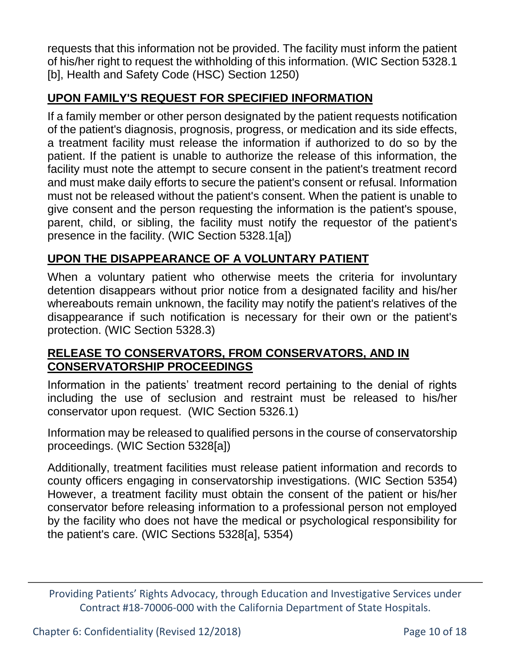requests that this information not be provided. The facility must inform the patient of his/her right to request the withholding of this information. (WIC Section 5328.1 [b], Health and Safety Code (HSC) Section 1250)

### **UPON FAMILY'S REQUEST FOR SPECIFIED INFORMATION**

If a family member or other person designated by the patient requests notification of the patient's diagnosis, prognosis, progress, or medication and its side effects, a treatment facility must release the information if authorized to do so by the patient. If the patient is unable to authorize the release of this information, the facility must note the attempt to secure consent in the patient's treatment record and must make daily efforts to secure the patient's consent or refusal. Information must not be released without the patient's consent. When the patient is unable to give consent and the person requesting the information is the patient's spouse, parent, child, or sibling, the facility must notify the requestor of the patient's presence in the facility. (WIC Section 5328.1[a])

### **UPON THE DISAPPEARANCE OF A VOLUNTARY PATIENT**

When a voluntary patient who otherwise meets the criteria for involuntary detention disappears without prior notice from a designated facility and his/her whereabouts remain unknown, the facility may notify the patient's relatives of the disappearance if such notification is necessary for their own or the patient's protection. (WIC Section 5328.3)

### **RELEASE TO CONSERVATORS, FROM CONSERVATORS, AND IN CONSERVATORSHIP PROCEEDINGS**

Information in the patients' treatment record pertaining to the denial of rights including the use of seclusion and restraint must be released to his/her conservator upon request. (WIC Section 5326.1)

Information may be released to qualified persons in the course of conservatorship proceedings. (WIC Section 5328[a])

Additionally, treatment facilities must release patient information and records to county officers engaging in conservatorship investigations. (WIC Section 5354) However, a treatment facility must obtain the consent of the patient or his/her conservator before releasing information to a professional person not employed by the facility who does not have the medical or psychological responsibility for the patient's care. (WIC Sections 5328[a], 5354)

Providing Patients' Rights Advocacy, through Education and Investigative Services under Contract #18-70006-000 with the California Department of State Hospitals.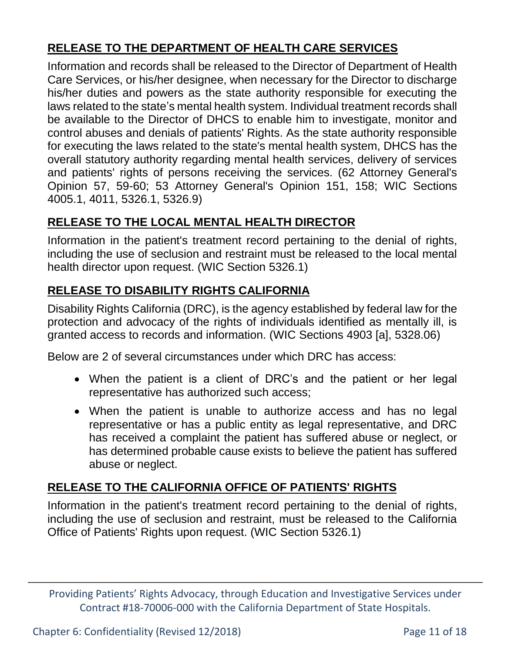### **RELEASE TO THE DEPARTMENT OF HEALTH CARE SERVICES**

Information and records shall be released to the Director of Department of Health Care Services, or his/her designee, when necessary for the Director to discharge his/her duties and powers as the state authority responsible for executing the laws related to the state's mental health system. Individual treatment records shall be available to the Director of DHCS to enable him to investigate, monitor and control abuses and denials of patients' Rights. As the state authority responsible for executing the laws related to the state's mental health system, DHCS has the overall statutory authority regarding mental health services, delivery of services and patients' rights of persons receiving the services. (62 Attorney General's Opinion 57, 59-60; 53 Attorney General's Opinion 151, 158; WIC Sections 4005.1, 4011, 5326.1, 5326.9)

### **RELEASE TO THE LOCAL MENTAL HEALTH DIRECTOR**

Information in the patient's treatment record pertaining to the denial of rights, including the use of seclusion and restraint must be released to the local mental health director upon request. (WIC Section 5326.1)

### **RELEASE TO DISABILITY RIGHTS CALIFORNIA**

Disability Rights California (DRC), is the agency established by federal law for the protection and advocacy of the rights of individuals identified as mentally ill, is granted access to records and information. (WIC Sections 4903 [a], 5328.06)

Below are 2 of several circumstances under which DRC has access:

- When the patient is a client of DRC's and the patient or her legal representative has authorized such access;
- When the patient is unable to authorize access and has no legal representative or has a public entity as legal representative, and DRC has received a complaint the patient has suffered abuse or neglect, or has determined probable cause exists to believe the patient has suffered abuse or neglect.

### **RELEASE TO THE CALIFORNIA OFFICE OF PATIENTS' RIGHTS**

Information in the patient's treatment record pertaining to the denial of rights, including the use of seclusion and restraint, must be released to the California Office of Patients' Rights upon request. (WIC Section 5326.1)

Providing Patients' Rights Advocacy, through Education and Investigative Services under Contract #18-70006-000 with the California Department of State Hospitals.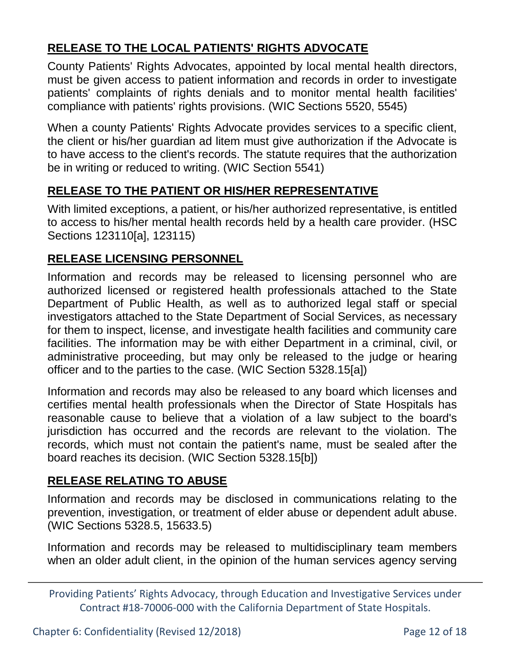### **RELEASE TO THE LOCAL PATIENTS' RIGHTS ADVOCATE**

County Patients' Rights Advocates, appointed by local mental health directors, must be given access to patient information and records in order to investigate patients' complaints of rights denials and to monitor mental health facilities' compliance with patients' rights provisions. (WIC Sections 5520, 5545)

When a county Patients' Rights Advocate provides services to a specific client, the client or his/her guardian ad litem must give authorization if the Advocate is to have access to the client's records. The statute requires that the authorization be in writing or reduced to writing. (WIC Section 5541)

### **RELEASE TO THE PATIENT OR HIS/HER REPRESENTATIVE**

With limited exceptions, a patient, or his/her authorized representative, is entitled to access to his/her mental health records held by a health care provider. (HSC Sections 123110[a], 123115)

#### **RELEASE LICENSING PERSONNEL**

Information and records may be released to licensing personnel who are authorized licensed or registered health professionals attached to the State Department of Public Health, as well as to authorized legal staff or special investigators attached to the State Department of Social Services, as necessary for them to inspect, license, and investigate health facilities and community care facilities. The information may be with either Department in a criminal, civil, or administrative proceeding, but may only be released to the judge or hearing officer and to the parties to the case. (WIC Section 5328.15[a])

Information and records may also be released to any board which licenses and certifies mental health professionals when the Director of State Hospitals has reasonable cause to believe that a violation of a law subject to the board's jurisdiction has occurred and the records are relevant to the violation. The records, which must not contain the patient's name, must be sealed after the board reaches its decision. (WIC Section 5328.15[b])

### **RELEASE RELATING TO ABUSE**

Information and records may be disclosed in communications relating to the prevention, investigation, or treatment of elder abuse or dependent adult abuse. (WIC Sections 5328.5, 15633.5)

Information and records may be released to multidisciplinary team members when an older adult client, in the opinion of the human services agency serving

Chapter 6: Confidentiality (Revised 12/2018) Page 12 of 18

Providing Patients' Rights Advocacy, through Education and Investigative Services under Contract #18-70006-000 with the California Department of State Hospitals.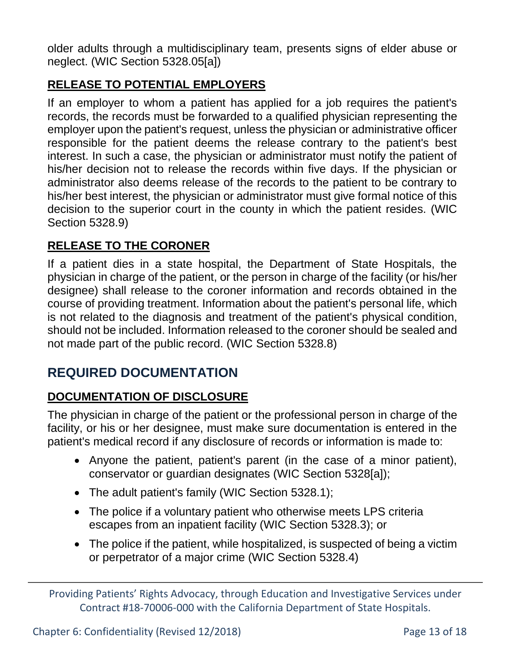older adults through a multidisciplinary team, presents signs of elder abuse or neglect. (WIC Section 5328.05[a])

## **RELEASE TO POTENTIAL EMPLOYERS**

If an employer to whom a patient has applied for a job requires the patient's records, the records must be forwarded to a qualified physician representing the employer upon the patient's request, unless the physician or administrative officer responsible for the patient deems the release contrary to the patient's best interest. In such a case, the physician or administrator must notify the patient of his/her decision not to release the records within five days. If the physician or administrator also deems release of the records to the patient to be contrary to his/her best interest, the physician or administrator must give formal notice of this decision to the superior court in the county in which the patient resides. (WIC Section 5328.9)

### **RELEASE TO THE CORONER**

If a patient dies in a state hospital, the Department of State Hospitals, the physician in charge of the patient, or the person in charge of the facility (or his/her designee) shall release to the coroner information and records obtained in the course of providing treatment. Information about the patient's personal life, which is not related to the diagnosis and treatment of the patient's physical condition, should not be included. Information released to the coroner should be sealed and not made part of the public record. (WIC Section 5328.8)

# **REQUIRED DOCUMENTATION**

### **DOCUMENTATION OF DISCLOSURE**

The physician in charge of the patient or the professional person in charge of the facility, or his or her designee, must make sure documentation is entered in the patient's medical record if any disclosure of records or information is made to:

- Anyone the patient, patient's parent (in the case of a minor patient), conservator or guardian designates (WIC Section 5328[a]);
- The adult patient's family (WIC Section 5328.1);
- The police if a voluntary patient who otherwise meets LPS criteria escapes from an inpatient facility (WIC Section 5328.3); or
- The police if the patient, while hospitalized, is suspected of being a victim or perpetrator of a major crime (WIC Section 5328.4)

Providing Patients' Rights Advocacy, through Education and Investigative Services under Contract #18-70006-000 with the California Department of State Hospitals.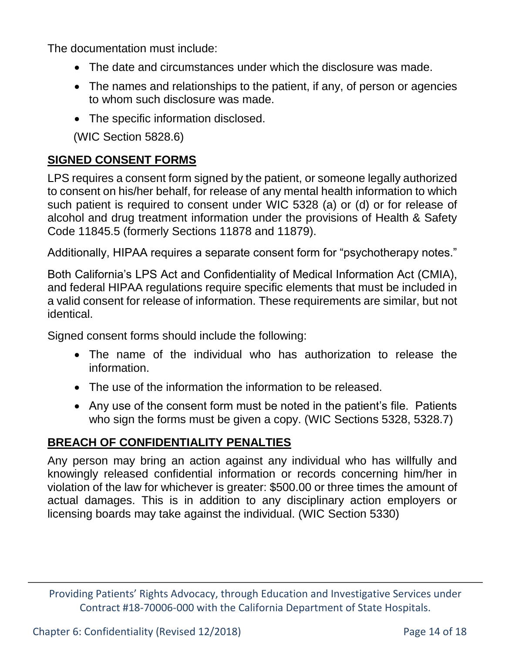The documentation must include:

- The date and circumstances under which the disclosure was made.
- The names and relationships to the patient, if any, of person or agencies to whom such disclosure was made.
- The specific information disclosed.

(WIC Section 5828.6)

### **SIGNED CONSENT FORMS**

LPS requires a consent form signed by the patient, or someone legally authorized to consent on his/her behalf, for release of any mental health information to which such patient is required to consent under WIC 5328 (a) or (d) or for release of alcohol and drug treatment information under the provisions of Health & Safety Code 11845.5 (formerly Sections 11878 and 11879).

Additionally, HIPAA requires a separate consent form for "psychotherapy notes."

Both California's LPS Act and Confidentiality of Medical Information Act (CMIA), and federal HIPAA regulations require specific elements that must be included in a valid consent for release of information. These requirements are similar, but not identical.

Signed consent forms should include the following:

- The name of the individual who has authorization to release the information.
- The use of the information the information to be released.
- Any use of the consent form must be noted in the patient's file. Patients who sign the forms must be given a copy. (WIC Sections 5328, 5328.7)

### **BREACH OF CONFIDENTIALITY PENALTIES**

Any person may bring an action against any individual who has willfully and knowingly released confidential information or records concerning him/her in violation of the law for whichever is greater: \$500.00 or three times the amount of actual damages. This is in addition to any disciplinary action employers or licensing boards may take against the individual. (WIC Section 5330)

Providing Patients' Rights Advocacy, through Education and Investigative Services under Contract #18-70006-000 with the California Department of State Hospitals.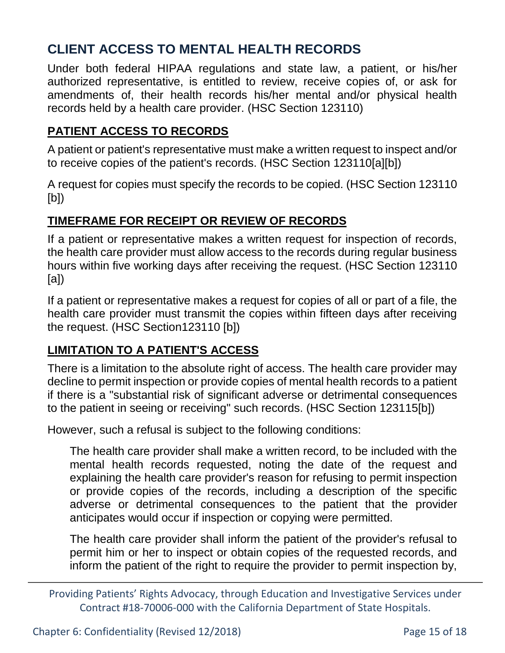# **CLIENT ACCESS TO MENTAL HEALTH RECORDS**

Under both federal HIPAA regulations and state law, a patient, or his/her authorized representative, is entitled to review, receive copies of, or ask for amendments of, their health records his/her mental and/or physical health records held by a health care provider. (HSC Section 123110)

### **PATIENT ACCESS TO RECORDS**

A patient or patient's representative must make a written request to inspect and/or to receive copies of the patient's records. (HSC Section 123110[a][b])

A request for copies must specify the records to be copied. (HSC Section 123110 [b])

### **TIMEFRAME FOR RECEIPT OR REVIEW OF RECORDS**

If a patient or representative makes a written request for inspection of records, the health care provider must allow access to the records during regular business hours within five working days after receiving the request. (HSC Section 123110 [a])

If a patient or representative makes a request for copies of all or part of a file, the health care provider must transmit the copies within fifteen days after receiving the request. (HSC Section123110 [b])

### **LIMITATION TO A PATIENT'S ACCESS**

There is a limitation to the absolute right of access. The health care provider may decline to permit inspection or provide copies of mental health records to a patient if there is a "substantial risk of significant adverse or detrimental consequences to the patient in seeing or receiving" such records. (HSC Section 123115[b])

However, such a refusal is subject to the following conditions:

The health care provider shall make a written record, to be included with the mental health records requested, noting the date of the request and explaining the health care provider's reason for refusing to permit inspection or provide copies of the records, including a description of the specific adverse or detrimental consequences to the patient that the provider anticipates would occur if inspection or copying were permitted.

The health care provider shall inform the patient of the provider's refusal to permit him or her to inspect or obtain copies of the requested records, and inform the patient of the right to require the provider to permit inspection by,

Providing Patients' Rights Advocacy, through Education and Investigative Services under Contract #18-70006-000 with the California Department of State Hospitals.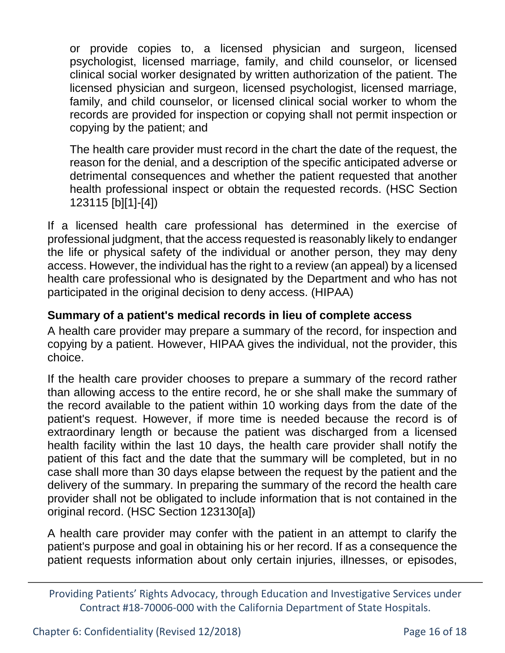or provide copies to, a licensed physician and surgeon, licensed psychologist, licensed marriage, family, and child counselor, or licensed clinical social worker designated by written authorization of the patient. The licensed physician and surgeon, licensed psychologist, licensed marriage, family, and child counselor, or licensed clinical social worker to whom the records are provided for inspection or copying shall not permit inspection or copying by the patient; and

The health care provider must record in the chart the date of the request, the reason for the denial, and a description of the specific anticipated adverse or detrimental consequences and whether the patient requested that another health professional inspect or obtain the requested records. (HSC Section 123115 [b][1]-[4])

If a licensed health care professional has determined in the exercise of professional judgment, that the access requested is reasonably likely to endanger the life or physical safety of the individual or another person, they may deny access. However, the individual has the right to a review (an appeal) by a licensed health care professional who is designated by the Department and who has not participated in the original decision to deny access. (HIPAA)

### **Summary of a patient's medical records in lieu of complete access**

A health care provider may prepare a summary of the record, for inspection and copying by a patient. However, HIPAA gives the individual, not the provider, this choice.

If the health care provider chooses to prepare a summary of the record rather than allowing access to the entire record, he or she shall make the summary of the record available to the patient within 10 working days from the date of the patient's request. However, if more time is needed because the record is of extraordinary length or because the patient was discharged from a licensed health facility within the last 10 days, the health care provider shall notify the patient of this fact and the date that the summary will be completed, but in no case shall more than 30 days elapse between the request by the patient and the delivery of the summary. In preparing the summary of the record the health care provider shall not be obligated to include information that is not contained in the original record. (HSC Section 123130[a])

A health care provider may confer with the patient in an attempt to clarify the patient's purpose and goal in obtaining his or her record. If as a consequence the patient requests information about only certain injuries, illnesses, or episodes,

Providing Patients' Rights Advocacy, through Education and Investigative Services under Contract #18-70006-000 with the California Department of State Hospitals.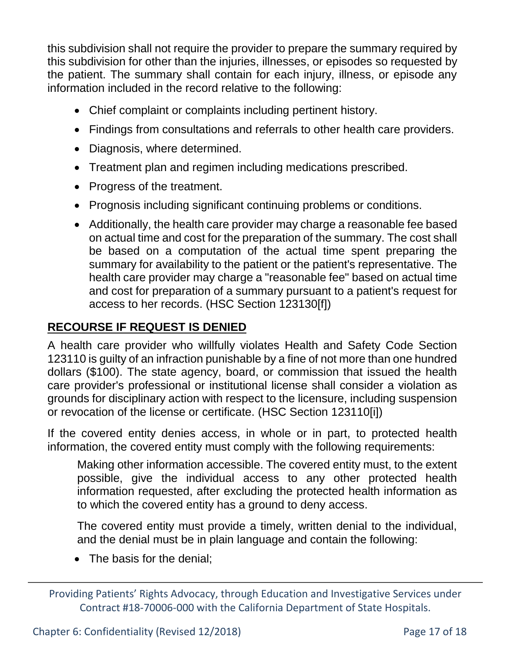this subdivision shall not require the provider to prepare the summary required by this subdivision for other than the injuries, illnesses, or episodes so requested by the patient. The summary shall contain for each injury, illness, or episode any information included in the record relative to the following:

- Chief complaint or complaints including pertinent history.
- Findings from consultations and referrals to other health care providers.
- Diagnosis, where determined.
- Treatment plan and regimen including medications prescribed.
- Progress of the treatment.
- Prognosis including significant continuing problems or conditions.
- Additionally, the health care provider may charge a reasonable fee based on actual time and cost for the preparation of the summary. The cost shall be based on a computation of the actual time spent preparing the summary for availability to the patient or the patient's representative. The health care provider may charge a "reasonable fee" based on actual time and cost for preparation of a summary pursuant to a patient's request for access to her records. (HSC Section 123130[f])

### **RECOURSE IF REQUEST IS DENIED**

A health care provider who willfully violates Health and Safety Code Section 123110 is guilty of an infraction punishable by a fine of not more than one hundred dollars (\$100). The state agency, board, or commission that issued the health care provider's professional or institutional license shall consider a violation as grounds for disciplinary action with respect to the licensure, including suspension or revocation of the license or certificate. (HSC Section 123110[i])

If the covered entity denies access, in whole or in part, to protected health information, the covered entity must comply with the following requirements:

Making other information accessible. The covered entity must, to the extent possible, give the individual access to any other protected health information requested, after excluding the protected health information as to which the covered entity has a ground to deny access.

The covered entity must provide a timely, written denial to the individual, and the denial must be in plain language and contain the following:

• The basis for the denial;

Chapter 6: Confidentiality (Revised 12/2018) Page 17 of 18

Providing Patients' Rights Advocacy, through Education and Investigative Services under Contract #18-70006-000 with the California Department of State Hospitals.